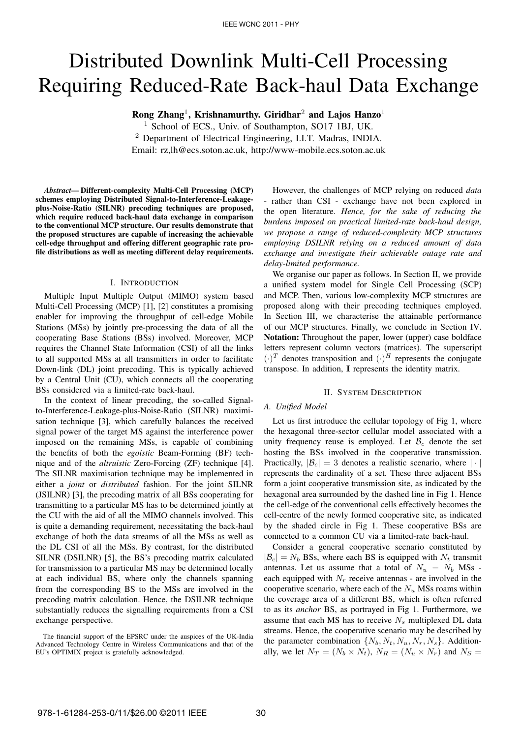# Distributed Downlink Multi-Cell Processing Requiring Reduced-Rate Back-haul Data Exchange

Rong Zhang<sup>1</sup>, Krishnamurthy. Giridhar<sup>2</sup> and Lajos Hanzo<sup>1</sup>

<sup>1</sup> School of ECS., Univ. of Southampton, SO17 1BJ, UK.  $2$  Department of Electrical Engineering, I.I.T. Madras, INDIA.

Email: rz,lh@ecs.soton.ac.uk, http://www-mobile.ecs.soton.ac.uk

*Abstract*— Different-complexity Multi-Cell Processing (MCP) schemes employing Distributed Signal-to-Interference-Leakageplus-Noise-Ratio (SILNR) precoding techniques are proposed, which require reduced back-haul data exchange in comparison to the conventional MCP structure. Our results demonstrate that the proposed structures are capable of increasing the achievable cell-edge throughput and offering different geographic rate profile distributions as well as meeting different delay requirements.

#### I. INTRODUCTION

Multiple Input Multiple Output (MIMO) system based Multi-Cell Processing (MCP) [1], [2] constitutes a promising enabler for improving the throughput of cell-edge Mobile Stations (MSs) by jointly pre-processing the data of all the cooperating Base Stations (BSs) involved. Moreover, MCP requires the Channel State Information (CSI) of all the links to all supported MSs at all transmitters in order to facilitate Down-link (DL) joint precoding. This is typically achieved by a Central Unit (CU), which connects all the cooperating BSs considered via a limited-rate back-haul.

In the context of linear precoding, the so-called Signalto-Interference-Leakage-plus-Noise-Ratio (SILNR) maximisation technique [3], which carefully balances the received signal power of the target MS against the interference power imposed on the remaining MSs, is capable of combining the benefits of both the *egoistic* Beam-Forming (BF) technique and of the *altruistic* Zero-Forcing (ZF) technique [4]. The SILNR maximisation technique may be implemented in either a *joint* or *distributed* fashion. For the joint SILNR (JSILNR) [3], the precoding matrix of all BSs cooperating for transmitting to a particular MS has to be determined jointly at the CU with the aid of all the MIMO channels involved. This is quite a demanding requirement, necessitating the back-haul exchange of both the data streams of all the MSs as well as the DL CSI of all the MSs. By contrast, for the distributed SILNR (DSILNR) [5], the BS's precoding matrix calculated for transmission to a particular MS may be determined locally at each individual BS, where only the channels spanning from the corresponding BS to the MSs are involved in the precoding matrix calculation. Hence, the DSILNR technique substantially reduces the signalling requirements from a CSI exchange perspective.

However, the challenges of MCP relying on reduced *data* rather than CSI - exchange have not been explored in the open literature. *Hence, for the sake of reducing the burdens imposed on practical limited-rate back-haul design, we propose a range of reduced-complexity MCP structures employing DSILNR relying on a reduced amount of data exchange and investigate their achievable outage rate and delay-limited performance.*

We organise our paper as follows. In Section II, we provide a unified system model for Single Cell Processing (SCP) and MCP. Then, various low-complexity MCP structures are proposed along with their precoding techniques employed. In Section III, we characterise the attainable performance of our MCP structures. Finally, we conclude in Section IV. Notation: Throughout the paper, lower (upper) case boldface letters represent column vectors (matrices). The superscript  $(\cdot)^T$  denotes transposition and  $(\cdot)^H$  represents the conjugate transpose. In addition, I represents the identity matrix.

#### II. SYSTEM DESCRIPTION

### *A. Unified Model*

Let us first introduce the cellular topology of Fig 1, where the hexagonal three-sector cellular model associated with a unity frequency reuse is employed. Let  $\mathcal{B}_c$  denote the set hosting the BSs involved in the cooperative transmission. Practically,  $|\mathcal{B}_c| = 3$  denotes a realistic scenario, where  $|\cdot|$ represents the cardinality of a set. These three adjacent BSs form a joint cooperative transmission site, as indicated by the hexagonal area surrounded by the dashed line in Fig 1. Hence the cell-edge of the conventional cells effectively becomes the cell-centre of the newly formed cooperative site, as indicated by the shaded circle in Fig 1. These cooperative BSs are connected to a common CU via a limited-rate back-haul.

Consider a general cooperative scenario constituted by  $|\mathcal{B}_c| = N_b$  BSs, where each BS is equipped with  $N_t$  transmit antennas. Let us assume that a total of  $N_u = N_b$  MSs each equipped with  $N_r$  receive antennas - are involved in the cooperative scenario, where each of the  $N_u$  MSs roams within the coverage area of a different BS, which is often referred to as its *anchor* BS, as portrayed in Fig 1. Furthermore, we assume that each MS has to receive  $N_s$  multiplexed DL data streams. Hence, the cooperative scenario may be described by the parameter combination  $\{N_b, N_t, N_u, N_r, N_s\}$ . Additionally, we let  $N_T = (N_b \times N_t)$ ,  $N_R = (N_u \times N_r)$  and  $N_S =$ 

The financial support of the EPSRC under the auspices of the UK-India Advanced Technology Centre in Wireless Communications and that of the EU's OPTIMIX project is gratefully acknowledged.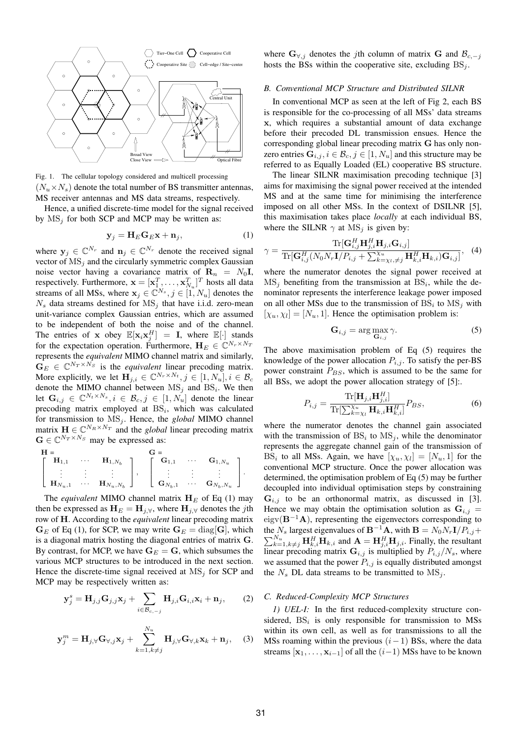

Fig. 1. The cellular topology considered and multicell processing  $(N_u \times N_s)$  denote the total number of BS transmitter antennas, MS receiver antennas and MS data streams, respectively.

Hence, a unified discrete-time model for the signal received by  $MS_i$  for both SCP and MCP may be written as:

$$
\mathbf{y}_j = \mathbf{H}_E \mathbf{G}_E \mathbf{x} + \mathbf{n}_j,\tag{1}
$$

where  $y_j \in \mathbb{C}^{N_r}$  and  $n_j \in \mathbb{C}^{N_r}$  denote the received signal vector of  $MS_i$  and the circularly symmetric complex Gaussian noise vector having a covariance matrix of  $\mathbf{R}_n = N_0 \mathbf{I}$ , respectively. Furthermore,  $\mathbf{x} = [\mathbf{x}_{1}^{T}, \dots, \mathbf{x}_{N_u}^{T}]^{T}$  hosts all data streams of all MSs, where  $x_j \in \mathbb{C}^{N_s}, j \in [1, N_u]$  denotes the  $N_s$  data streams destined for  $MS_i$  that have i.i.d. zero-mean unit-variance complex Gaussian entries, which are assumed to be independent of both the noise and of the channel. The entries of x obey  $\mathbb{E}[\mathbf{x}_i \mathbf{x}_j^H] = \mathbf{I}$ , where  $\mathbb{E}[\cdot]$  stands for the expectation operation. Furthermore,  $H_E \in \mathbb{C}^{N_r \times N_T}$ represents the *equivalent* MIMO channel matrix and similarly,  $\mathbf{G}_E \in \mathbb{C}^{N_T \times N_S}$  is the *equivalent* linear precoding matrix. More explicitly, we let  $\mathbf{H}_{j,i} \in \mathbb{C}^{N_r \times N_t}, j \in [1, N_u], i \in \mathcal{B}_c$ denote the MIMO channel between  $MS_j$  and  $BS_i$ . We then let  $\mathbf{G}_{i,j} \in \mathbb{C}^{N_t \times N_s}, i \in \mathcal{B}_c, j \in [1, N_u]$  denote the linear precoding matrix employed at  $BS_i$ , which was calculated for transmission to  $MS_j$ . Hence, the *global* MIMO channel matrix  $\mathbf{H} \in \mathbb{C}^{N_R \times N_T}$  and the *global* linear precoding matrix  $\mathbf{G} \in \mathbb{C}^{N_T \times N_S}$  may be expressed as:

$$
\begin{bmatrix}\n\mathbf{H} = & & \mathbf{G} = & & \mathbf{G}_{1,N_u} \\
\vdots & \vdots & \vdots & \vdots \\
\mathbf{H}_{N_u,1} & \cdots & \mathbf{H}_{N_u,N_b}\n\end{bmatrix},\n\begin{bmatrix}\n\mathbf{G}_{1,1} & \cdots & \mathbf{G}_{1,N_u} \\
\vdots & \vdots & \vdots \\
\mathbf{G}_{N_b,1} & \cdots & \mathbf{G}_{N_b,N_u}\n\end{bmatrix}.
$$

The *equivalent* MIMO channel matrix  $H<sub>E</sub>$  of Eq (1) may then be expressed as  $H_E = H_{i,\forall}$ , where  $H_{i,\forall}$  denotes the jth row of H. According to the *equivalent* linear precoding matrix  $G_E$  of Eq (1), for SCP, we may write  $G_E = \text{diag}[G]$ , which is a diagonal matrix hosting the diagonal entries of matrix G. By contrast, for MCP, we have  $G_E = G$ , which subsumes the various MCP structures to be introduced in the next section. Hence the discrete-time signal received at  $MS_i$  for SCP and MCP may be respectively written as:

$$
\mathbf{y}_{j}^{s} = \mathbf{H}_{j,j} \mathbf{G}_{j,j} \mathbf{x}_{j} + \sum_{i \in \mathcal{B}_{c,-j}} \mathbf{H}_{j,i} \mathbf{G}_{i,i} \mathbf{x}_{i} + \mathbf{n}_{j}, \qquad (2)
$$

$$
\mathbf{y}_{j}^{m} = \mathbf{H}_{j,\forall} \mathbf{G}_{\forall,j} \mathbf{x}_{j} + \sum_{k=1, k \neq j}^{N_{u}} \mathbf{H}_{j,\forall} \mathbf{G}_{\forall,k} \mathbf{x}_{k} + \mathbf{n}_{j}, \quad (3)
$$

where  $\mathbf{G}_{\forall j}$  denotes the jth column of matrix G and  $\mathcal{B}_{c,-j}$ hosts the BSs within the cooperative site, excluding  $BS_i$ .

#### *B. Conventional MCP Structure and Distributed SILNR*

In conventional MCP as seen at the left of Fig 2, each BS is responsible for the co-processing of all MSs' data streams x, which requires a substantial amount of data exchange before their precoded DL transmission ensues. Hence the corresponding global linear precoding matrix G has only nonzero entries  $G_{i,j}$ ,  $i \in \mathcal{B}_c$ ,  $j \in [1, N_u]$  and this structure may be referred to as Equally Loaded (EL) cooperative BS structure.

The linear SILNR maximisation precoding technique [3] aims for maximising the signal power received at the intended MS and at the same time for minimising the interference imposed on all other MSs. In the context of DSILNR [5], this maximisation takes place *locally* at each individual BS, where the SILNR  $\gamma$  at MS<sub>i</sub> is given by:

$$
\gamma = \frac{\text{Tr}[\mathbf{G}_{i,j}^H \mathbf{H}_{j,i}^H \mathbf{H}_{j,i} \mathbf{G}_{i,j}]}{\text{Tr}[\mathbf{G}_{i,j}^H(N_0 N_r \mathbf{I}/P_{i,j} + \sum_{k=\chi_i \neq j}^{\chi_u} \mathbf{H}_{k,i}^H \mathbf{H}_{k,i}) \mathbf{G}_{i,j}]}, \quad (4)
$$

where the numerator denotes the signal power received at  $MS_j$  benefiting from the transmission at  $BS_i$ , while the denominator represents the interference leakage power imposed on all other MSs due to the transmission of  $BS_i$  to  $MS_j$  with  $[\chi_u, \chi_l] = [N_u, 1]$ . Hence the optimisation problem is:

$$
\mathbf{G}_{i,j} = \arg \max_{\mathbf{G}_{i,j}} \gamma. \tag{5}
$$

The above maximisation problem of Eq (5) requires the knowledge of the power allocation  $P_{i,j}$ . To satisfy the per-BS power constraint  $P_{BS}$ , which is assumed to be the same for all BSs, we adopt the power allocation strategy of [5]:.

$$
P_{i,j} = \frac{\text{Tr}[\mathbf{H}_{j,i}\mathbf{H}_{j,i}^H]}{\text{Tr}[\sum_{k=\chi_l}^{\chi_u}\mathbf{H}_{k,i}\mathbf{H}_{k,i}^H]}P_{BS},\tag{6}
$$

where the numerator denotes the channel gain associated with the transmission of  $BS_i$  to  $MS_j$ , while the denominator represents the aggregate channel gain of the transmission of BS<sub>i</sub> to all MSs. Again, we have  $[\chi_u, \chi_l] = [N_u, 1]$  for the conventional MCP structure. Once the power allocation was determined, the optimisation problem of Eq (5) may be further decoupled into individual optimisation steps by constraining  $G_{i,j}$  to be an orthonormal matrix, as discussed in [3]. Hence we may obtain the optimisation solution as  $G_{i,j}$  =  $eigv(\mathbf{B}^{-1}\mathbf{A})$ , representing the eigenvectors corresponding to  $\sum_{k=1, k \neq j}^{N_u} \mathbf{H}_{k,i}^H \mathbf{H}_{k,i}$  and  $\mathbf{A} = \mathbf{H}_{j,i}^H \mathbf{H}_{j,i}$ . Finally, the resultant the  $N_s$  largest eigenvalues of  $\mathbf{B}^{-1}\mathbf{A}$ , with  $\mathbf{B} = N_0N_r\mathbf{I}/P_{i,j}+$ linear precoding matrix  $G_{i,j}$  is multiplied by  $P_{i,j}/N_s$ , where we assumed that the power  $P_{i,j}$  is equally distributed amongst the  $N_s$  DL data streams to be transmitted to  $MS_i$ .

#### *C. Reduced-Complexity MCP Structures*

*1) UEL-I:* In the first reduced-complexity structure considered,  $BS_i$  is only responsible for transmission to MSs within its own cell, as well as for transmissions to all the MSs roaming within the previous  $(i-1)$  BSs, where the data streams  $[x_1, \ldots, x_{i-1}]$  of all the  $(i-1)$  MSs have to be known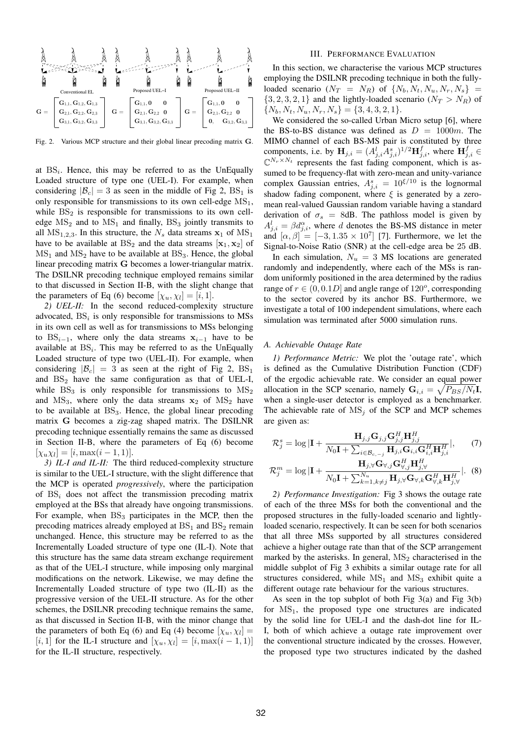

Fig. 2. Various MCP structure and their global linear precoding matrix G.

at  $BS_i$ . Hence, this may be referred to as the UnEqually Loaded structure of type one (UEL-I). For example, when considering  $|\mathcal{B}_c| = 3$  as seen in the middle of Fig 2, BS<sub>1</sub> is only responsible for transmissions to its own cell-edge  $MS_1$ , while  $BS<sub>2</sub>$  is responsible for transmissions to its own celledge  $MS_2$  and to  $MS_1$  and finally,  $BS_3$  jointly transmits to all  $MS_{1,2,3}$ . In this structure, the  $N_s$  data streams  $x_1$  of  $MS_1$ have to be available at  $BS_2$  and the data streams  $[x_1, x_2]$  of  $MS<sub>1</sub>$  and  $MS<sub>2</sub>$  have to be available at  $BS<sub>3</sub>$ . Hence, the global linear precoding matrix G becomes a lower-triangular matrix. The DSILNR precoding technique employed remains similar to that discussed in Section II-B, with the slight change that the parameters of Eq (6) become  $[\chi_u, \chi_l] = [i, 1].$ 

*2) UEL-II:* In the second reduced-complexity structure advocated,  $BS_i$  is only responsible for transmissions to MSs in its own cell as well as for transmissions to MSs belonging to BS<sub>i−1</sub>, where only the data streams  $x_{i-1}$  have to be available at  $BS_i$ . This may be referred to as the UnEqually Loaded structure of type two (UEL-II). For example, when considering  $|\mathcal{B}_c| = 3$  as seen at the right of Fig 2,  $BS_1$ and  $BS_2$  have the same configuration as that of UEL-I, while  $BS_3$  is only responsible for transmissions to  $MS_2$ and  $MS_3$ , where only the data streams  $x_2$  of  $MS_2$  have to be available at  $BS_3$ . Hence, the global linear precoding matrix G becomes a zig-zag shaped matrix. The DSILNR precoding technique essentially remains the same as discussed in Section II-B, where the parameters of Eq (6) become  $[\chi_u \chi_l] = [i, \max(i-1, 1)].$ 

*3) IL-I and IL-II:* The third reduced-complexity structure is similar to the UEL-I structure, with the slight difference that the MCP is operated *progressively*, where the participation of  $BS_i$  does not affect the transmission precoding matrix employed at the BSs that already have ongoing transmissions. For example, when  $BS_3$  participates in the MCP, then the precoding matrices already employed at  $BS_1$  and  $BS_2$  remain unchanged. Hence, this structure may be referred to as the Incrementally Loaded structure of type one (IL-I). Note that this structure has the same data stream exchange requirement as that of the UEL-I structure, while imposing only marginal modifications on the network. Likewise, we may define the Incrementally Loaded structure of type two (IL-II) as the progressive version of the UEL-II structure. As for the other schemes, the DSILNR precoding technique remains the same, as that discussed in Section II-B, with the minor change that the parameters of both Eq (6) and Eq (4) become  $[\chi_u, \chi_l] =$ [i, 1] for the IL-I structure and  $[\chi_u, \chi_l] = [i, \max(i-1, 1)]$ for the IL-II structure, respectively.

#### III. PERFORMANCE EVALUATION

In this section, we characterise the various MCP structures employing the DSILNR precoding technique in both the fullyloaded scenario  $(N_T = N_R)$  of  $\{N_b, N_t, N_u, N_r, N_s\}$  =  $\{3, 2, 3, 2, 1\}$  and the lightly-loaded scenario  $(N_T > N_R)$  of  $\{N_b, N_t, N_u, N_r, N_s\} = \{3, 4, 3, 2, 1\}.$ 

We considered the so-called Urban Micro setup [6], where the BS-to-BS distance was defined as  $D = 1000m$ . The MIMO channel of each BS-MS pair is constituted by three components, i.e. by  $\mathbf{H}_{j,i} = (A^l_{j,i} \dot{A}^s_{j,i})^{1/2} \mathbf{H}^f_{j,i}$ , where  $\mathbf{H}^f_{j,i} \in$  $\mathbb{C}^{N_r \times N_t}$  represents the fast fading component, which is assumed to be frequency-flat with zero-mean and unity-variance complex Gaussian entries,  $A_{j,i}^s = 10^{\xi/10}$  is the lognormal shadow fading component, where  $\xi$  is generated by a zeromean real-valued Gaussian random variable having a standard derivation of  $\sigma_s$  = 8dB. The pathloss model is given by  $A_{j,i}^l = \beta d_{j,i}^{\alpha}$ , where d denotes the BS-MS distance in meter and  $[\alpha, \beta] = [-3, 1.35 \times 10^7]$  [7]. Furthermore, we let the Signal-to-Noise Ratio (SNR) at the cell-edge area be 25 dB.

In each simulation,  $N_u = 3$  MS locations are generated randomly and independently, where each of the MSs is random uniformly positioned in the area determined by the radius range of  $r \in (0, 0.1D]$  and angle range of  $120^{\circ}$ , corresponding to the sector covered by its anchor BS. Furthermore, we investigate a total of 100 independent simulations, where each simulation was terminated after 5000 simulation runs.

#### *A. Achievable Outage Rate*

*1) Performance Metric:* We plot the 'outage rate', which is defined as the Cumulative Distribution Function (CDF) of the ergodic achievable rate. We consider an equal power allocation in the SCP scenario, namely  $G_{i,i} = \sqrt{P_{BS}/N_t}I$ , when a single-user detector is employed as a benchmarker. The achievable rate of  $MS_i$  of the SCP and MCP schemes are given as:

$$
\mathcal{R}_j^s = \log|\mathbf{I} + \frac{\mathbf{H}_{j,j}\mathbf{G}_{j,j}\mathbf{G}_{j,j}^H\mathbf{H}_{j,j}^H}{N_0\mathbf{I} + \sum_{i \in \mathcal{B}_{c,-j}} \mathbf{H}_{j,i}\mathbf{G}_{i,i}\mathbf{G}_{i,i}^H\mathbf{H}_{j,i}^H}|, \qquad (7)
$$

$$
\mathcal{R}_{j}^{m} = \log|\mathbf{I} + \frac{\mathbf{H}_{j,\forall}\mathbf{G}_{\forall,j}\mathbf{G}_{\forall,j}^{H}\mathbf{H}_{j,\forall}^{H}}{N_{0}\mathbf{I} + \sum_{k=1,k\neq j}^{N_{u}}\mathbf{H}_{j,\forall}\mathbf{G}_{\forall,k}\mathbf{G}_{\forall,k}^{H}\mathbf{H}_{j,\forall}^{H}}|.\tag{8}
$$

*2) Performance Investigation:* Fig 3 shows the outage rate of each of the three MSs for both the conventional and the proposed structures in the fully-loaded scenario and lightlyloaded scenario, respectively. It can be seen for both scenarios that all three MSs supported by all structures considered achieve a higher outage rate than that of the SCP arrangement marked by the asterisks. In general,  $MS<sub>2</sub>$  characterised in the middle subplot of Fig 3 exhibits a similar outage rate for all structures considered, while  $MS_1$  and  $MS_3$  exhibit quite a different outage rate behaviour for the various structures.

As seen in the top subplot of both Fig 3(a) and Fig 3(b) for  $MS_1$ , the proposed type one structures are indicated by the solid line for UEL-I and the dash-dot line for IL-I, both of which achieve a outage rate improvement over the conventional structure indicated by the crosses. However, the proposed type two structures indicated by the dashed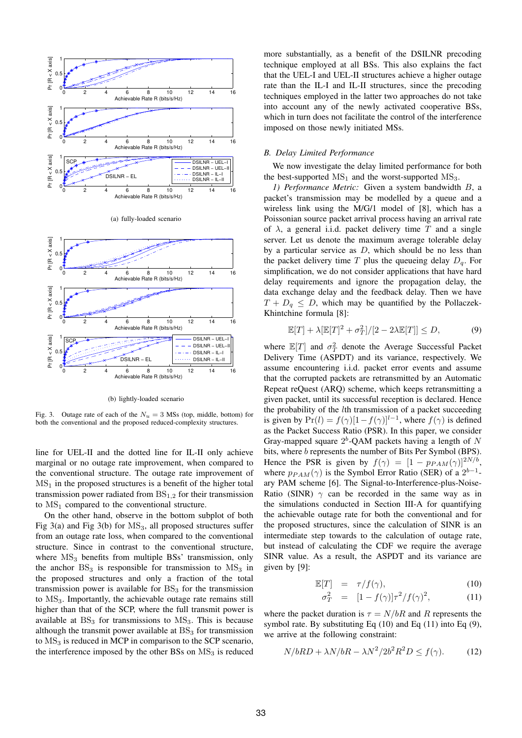

(b) lightly-loaded scenario

Fig. 3. Outage rate of each of the  $N_u = 3$  MSs (top, middle, bottom) for both the conventional and the proposed reduced-complexity structures.

line for UEL-II and the dotted line for IL-II only achieve marginal or no outage rate improvement, when compared to the conventional structure. The outage rate improvement of  $MS<sub>1</sub>$  in the proposed structures is a benefit of the higher total transmission power radiated from  $BS_{1,2}$  for their transmission to  $MS_1$  compared to the conventional structure.

On the other hand, observe in the bottom subplot of both Fig  $3(a)$  and Fig  $3(b)$  for  $MS_3$ , all proposed structures suffer from an outage rate loss, when compared to the conventional structure. Since in contrast to the conventional structure, where  $MS<sub>3</sub>$  benefits from multiple BSs' transmission, only the anchor  $BS_3$  is responsible for transmission to  $MS_3$  in the proposed structures and only a fraction of the total transmission power is available for  $BS<sub>3</sub>$  for the transmission to  $MS<sub>3</sub>$ . Importantly, the achievable outage rate remains still higher than that of the SCP, where the full transmit power is available at  $BS_3$  for transmissions to  $MS_3$ . This is because although the transmit power available at  $BS<sub>3</sub>$  for transmission to  $MS<sub>3</sub>$  is reduced in MCP in comparison to the SCP scenario, the interference imposed by the other BSs on  $MS<sub>3</sub>$  is reduced

more substantially, as a benefit of the DSILNR precoding technique employed at all BSs. This also explains the fact that the UEL-I and UEL-II structures achieve a higher outage rate than the IL-I and IL-II structures, since the precoding techniques employed in the latter two approaches do not take into account any of the newly activated cooperative BSs, which in turn does not facilitate the control of the interference imposed on those newly initiated MSs.

#### *B. Delay Limited Performance*

We now investigate the delay limited performance for both the best-supported  $MS_1$  and the worst-supported  $MS_3$ .

*1) Performance Metric:* Given a system bandwidth B, a packet's transmission may be modelled by a queue and a wireless link using the M/G/1 model of [8], which has a Poissonian source packet arrival process having an arrival rate of  $\lambda$ , a general i.i.d. packet delivery time T and a single server. Let us denote the maximum average tolerable delay by a particular service as  $D$ , which should be no less than the packet delivery time T plus the queueing delay  $D_q$ . For simplification, we do not consider applications that have hard delay requirements and ignore the propagation delay, the data exchange delay and the feedback delay. Then we have  $T + D_q \leq D$ , which may be quantified by the Pollaczek-Khintchine formula [8]:

$$
\mathbb{E}[T] + \lambda [\mathbb{E}[T]^2 + \sigma_T^2]/[2 - 2\lambda \mathbb{E}[T]] \le D,\tag{9}
$$

where  $\mathbb{E}[T]$  and  $\sigma_T^2$  denote the Average Successful Packet Delivery Time (ASPDT) and its variance, respectively. We assume encountering i.i.d. packet error events and assume that the corrupted packets are retransmitted by an Automatic Repeat reQuest (ARQ) scheme, which keeps retransmitting a given packet, until its successful reception is declared. Hence the probability of the lth transmission of a packet succeeding is given by  $Pr(l) = f(\gamma)[1 - f(\gamma)]^{l-1}$ , where  $f(\gamma)$  is defined as the Packet Success Ratio (PSR). In this paper, we consider Gray-mapped square  $2^b$ -QAM packets having a length of N bits, where b represents the number of Bits Per Symbol (BPS). Hence the PSR is given by  $f(\gamma) = [1 - p_{PAM}(\gamma)]^{2N/b}$ , where  $p_{PAM}(\gamma)$  is the Symbol Error Ratio (SER) of a  $2^{b-1}$ ary PAM scheme [6]. The Signal-to-Interference-plus-Noise-Ratio (SINR)  $\gamma$  can be recorded in the same way as in the simulations conducted in Section III-A for quantifying the achievable outage rate for both the conventional and for the proposed structures, since the calculation of SINR is an intermediate step towards to the calculation of outage rate, but instead of calculating the CDF we require the average SINR value. As a result, the ASPDT and its variance are given by [9]:

$$
\mathbb{E}[T] = \tau/f(\gamma), \tag{10}
$$

$$
\sigma_T^2 = [1 - f(\gamma)]\tau^2/f(\gamma)^2,
$$
 (11)

where the packet duration is  $\tau = N/bR$  and R represents the symbol rate. By substituting Eq  $(10)$  and Eq  $(11)$  into Eq  $(9)$ , we arrive at the following constraint:

$$
N/bRD + \lambda N/bR - \lambda N^2/2b^2R^2D \le f(\gamma). \tag{12}
$$